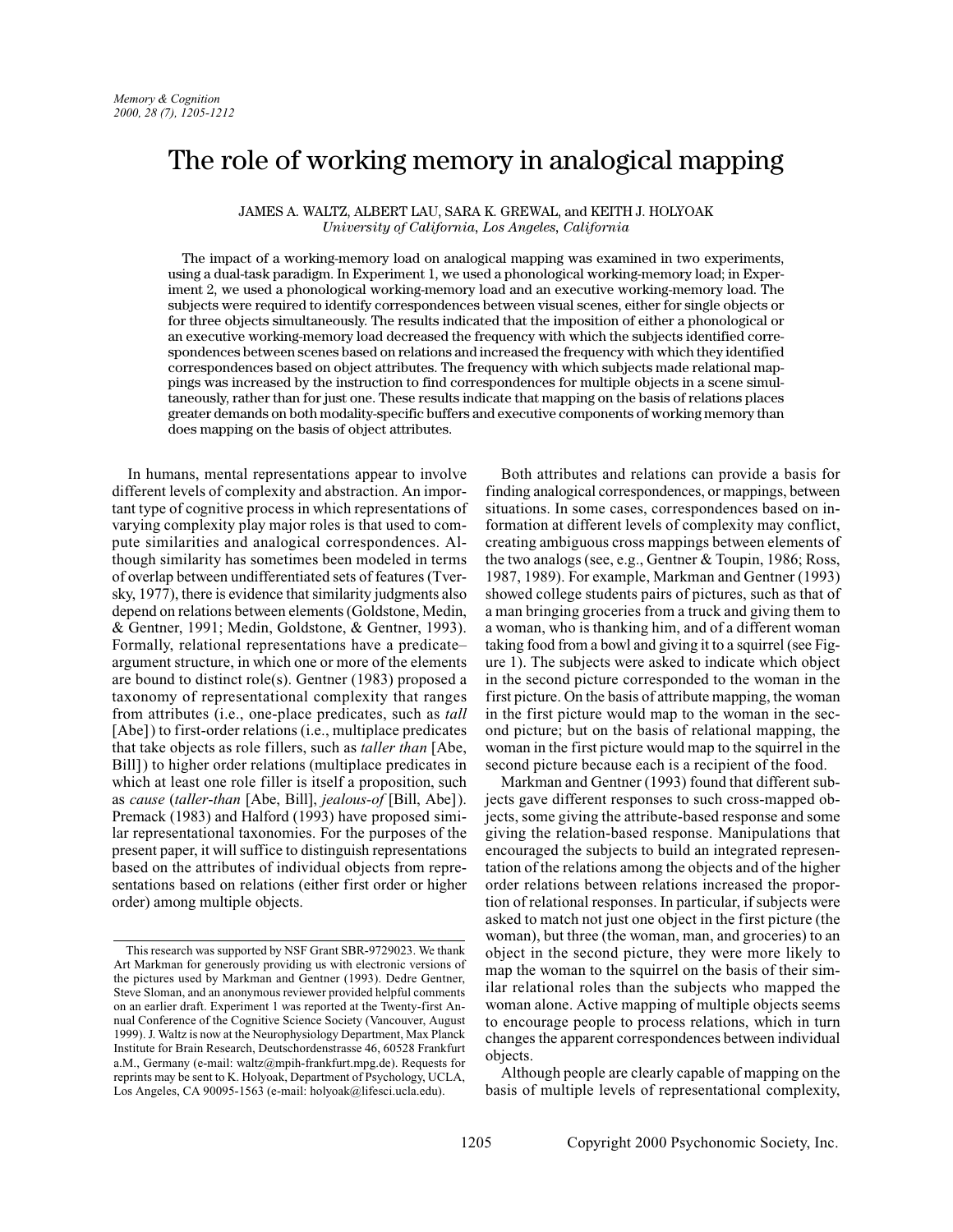# The role of working memory in analogical mapping

JAMES A. WALTZ, ALBERT LAU, SARA K. GREWAL, and KEITH J. HOLYOAK *University of California, Los Angeles, California*

The impact of a working-memory load on analogical mapping was examined in two experiments, using a dual-task paradigm. In Experiment 1, we used a phonological working-memory load; in Experiment 2, we used a phonological working-memory load and an executive working-memory load. The subjects were required to identify correspondences between visual scenes, either for single objects or for three objects simultaneously. The results indicated that the imposition of either a phonological or an executive working-memory load decreased the frequency with which the subjects identified correspondences between scenes based on relations and increased the frequency with which they identified correspondences based on object attributes. The frequency with which subjects made relational mappings was increased by the instruction to find correspondences for multiple objects in a scene simultaneously, rather than for just one. These results indicate that mapping on the basis of relations places greater demands on both modality-specific buffers and executive components of working memory than does mapping on the basis of object attributes.

In humans, mental representations appear to involve different levels of complexity and abstraction. An important type of cognitive process in which representations of varying complexity play major roles is that used to compute similarities and analogical correspondences. Although similarity has sometimes been modeled in terms of overlap between undifferentiated sets of features (Tversky, 1977), there is evidence that similarity judgments also depend on relations between elements (Goldstone, Medin, & Gentner, 1991; Medin, Goldstone, & Gentner, 1993). Formally, relational representations have a predicate– argument structure, in which one or more of the elements are bound to distinct role(s). Gentner (1983) proposed a taxonomy of representational complexity that ranges from attributes (i.e., one-place predicates, such as *tall* [Abe]) to first-order relations (i.e., multiplace predicates that take objects as role fillers, such as *taller than* [Abe, Bill]) to higher order relations (multiplace predicates in which at least one role filler is itself a proposition, such as *cause* (*taller*-*than* [Abe, Bill], *jealous-of* [Bill, Abe]). Premack (1983) and Halford (1993) have proposed similar representational taxonomies. For the purposes of the present paper, it will suffice to distinguish representations based on the attributes of individual objects from representations based on relations (either first order or higher order) among multiple objects.

Both attributes and relations can provide a basis for finding analogical correspondences, or mappings, between situations. In some cases, correspondences based on information at different levels of complexity may conflict, creating ambiguous cross mappings between elements of the two analogs (see, e.g., Gentner & Toupin, 1986; Ross, 1987, 1989). For example, Markman and Gentner (1993) showed college students pairs of pictures, such as that of a man bringing groceries from a truck and giving them to a woman, who is thanking him, and of a different woman taking food from a bowl and giving it to a squirrel (see Figure 1). The subjects were asked to indicate which object in the second picture corresponded to the woman in the first picture. On the basis of attribute mapping, the woman in the first picture would map to the woman in the second picture; but on the basis of relational mapping, the woman in the first picture would map to the squirrel in the second picture because each is a recipient of the food.

Markman and Gentner (1993) found that different subjects gave different responses to such cross-mapped objects, some giving the attribute-based response and some giving the relation-based response. Manipulations that encouraged the subjects to build an integrated representation of the relations among the objects and of the higher order relations between relations increased the proportion of relational responses. In particular, if subjects were asked to match not just one object in the first picture (the woman), but three (the woman, man, and groceries) to an object in the second picture, they were more likely to map the woman to the squirrel on the basis of their similar relational roles than the subjects who mapped the woman alone. Active mapping of multiple objects seems to encourage people to process relations, which in turn changes the apparent correspondences between individual objects.

Although people are clearly capable of mapping on the basis of multiple levels of representational complexity,

This research was supported by NSF Grant SBR-9729023. We thank Art Markman for generously providing us with electronic versions of the pictures used by Markman and Gentner (1993). Dedre Gentner, Steve Sloman, and an anonymous reviewer provided helpful comments on an earlier draft. Experiment 1 was reported at the Twenty-first Annual Conference of the Cognitive Science Society (Vancouver, August 1999). J. Waltz is now at the Neurophysiology Department, Max Planck Institute for Brain Research, Deutschordenstrasse 46, 60528 Frankfurt a.M., Germany (e-mail: waltz@mpih-frankfurt.mpg.de). Requests for reprints may be sent to K. Holyoak, Department of Psychology, UCLA, Los Angeles, CA 90095-1563 (e-mail: holyoak@lifesci.ucla.edu).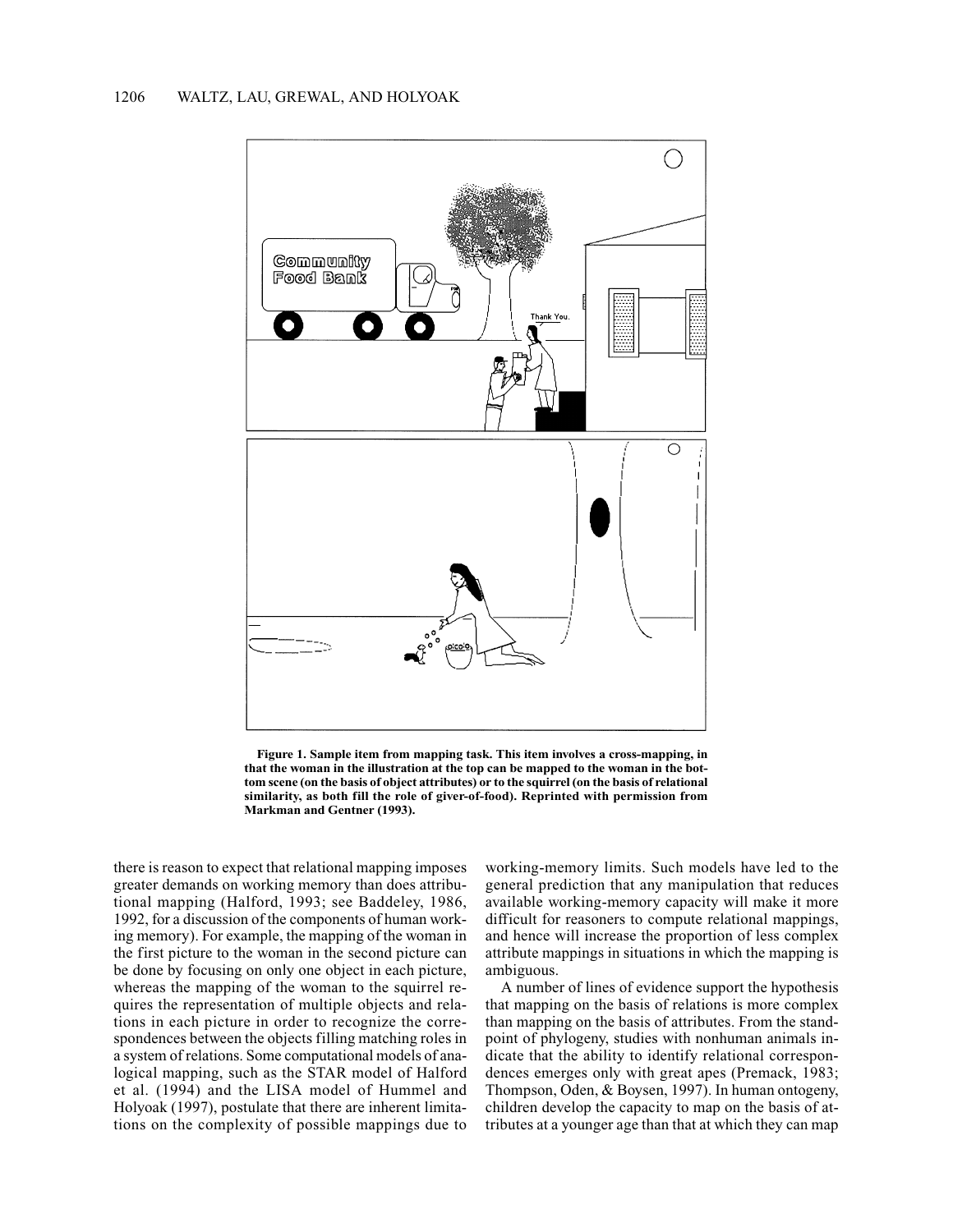

**Figure 1. Sample item from mapping task. This item involves a cross-mapping, in that the woman in the illustration at the top can be mapped to the woman in the bottom scene (on the basis of object attributes) or to the squirrel (on the basis of relational similarity, as both fill the role of giver-of-food). Reprinted with permission from Markman and Gentner (1993).**

there is reason to expect that relational mapping imposes greater demands on working memory than does attributional mapping (Halford, 1993; see Baddeley, 1986, 1992, for a discussion of the components of human working memory). For example, the mapping of the woman in the first picture to the woman in the second picture can be done by focusing on only one object in each picture, whereas the mapping of the woman to the squirrel requires the representation of multiple objects and relations in each picture in order to recognize the correspondences between the objects filling matching roles in a system of relations. Some computational models of analogical mapping, such as the STAR model of Halford et al. (1994) and the LISA model of Hummel and Holyoak (1997), postulate that there are inherent limitations on the complexity of possible mappings due to

working-memory limits. Such models have led to the general prediction that any manipulation that reduces available working-memory capacity will make it more difficult for reasoners to compute relational mappings, and hence will increase the proportion of less complex attribute mappings in situations in which the mapping is ambiguous.

A number of lines of evidence support the hypothesis that mapping on the basis of relations is more complex than mapping on the basis of attributes. From the standpoint of phylogeny, studies with nonhuman animals indicate that the ability to identify relational correspondences emerges only with great apes (Premack, 1983; Thompson, Oden, & Boysen, 1997). In human ontogeny, children develop the capacity to map on the basis of attributes at a younger age than that at which they can map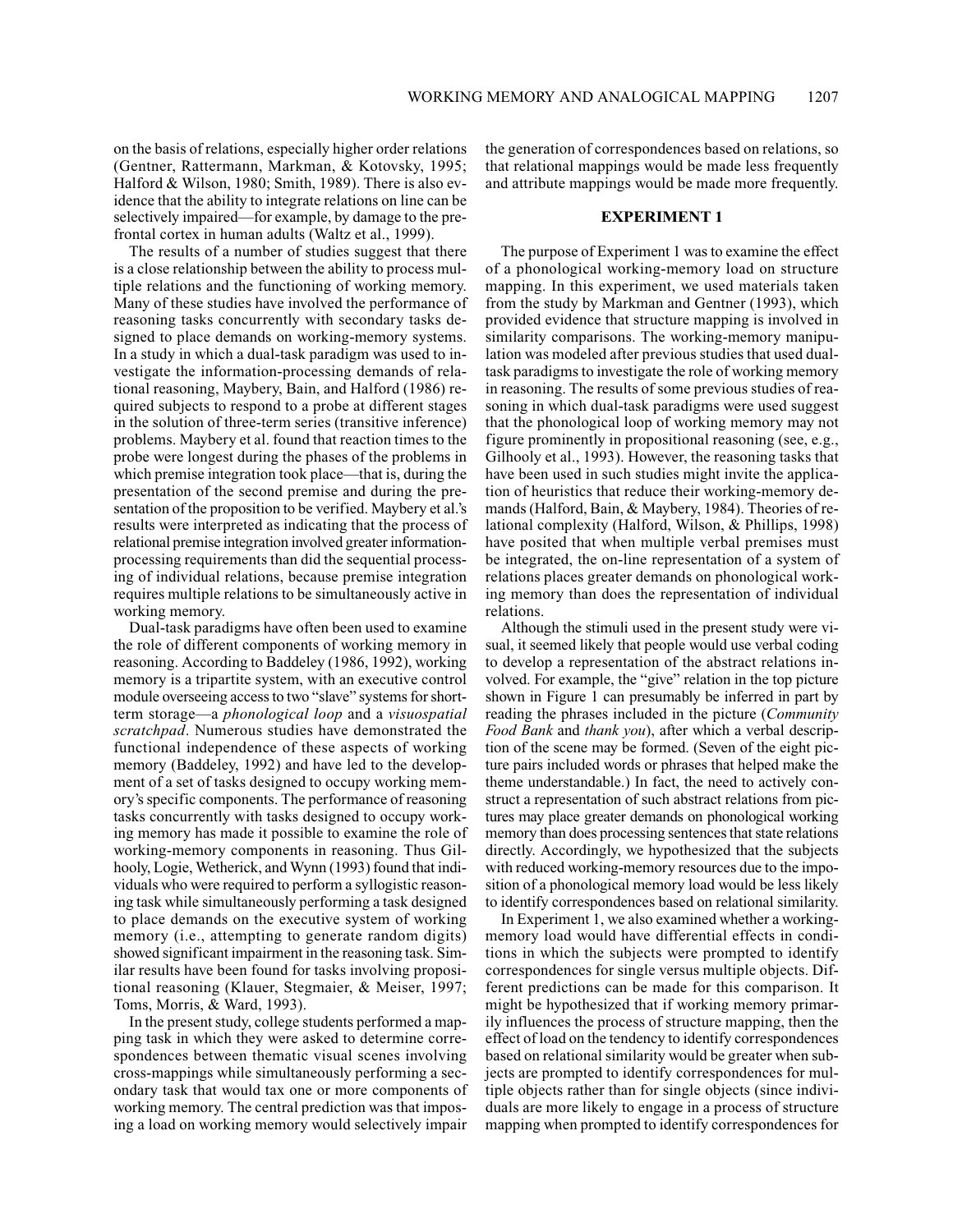on the basis of relations, especially higher order relations (Gentner, Rattermann, Markman, & Kotovsky, 1995; Halford & Wilson, 1980; Smith, 1989). There is also evidence that the ability to integrate relations on line can be selectively impaired—for example, by damage to the prefrontal cortex in human adults (Waltz et al., 1999).

The results of a number of studies suggest that there is a close relationship between the ability to process multiple relations and the functioning of working memory. Many of these studies have involved the performance of reasoning tasks concurrently with secondary tasks designed to place demands on working-memory systems. In a study in which a dual-task paradigm was used to investigate the information-processing demands of relational reasoning, Maybery, Bain, and Halford (1986) required subjects to respond to a probe at different stages in the solution of three-term series (transitive inference) problems. Maybery et al. found that reaction times to the probe were longest during the phases of the problems in which premise integration took place—that is, during the presentation of the second premise and during the presentation of the proposition to be verified. Maybery et al.'s results were interpreted as indicating that the process of relational premise integration involved greater informationprocessing requirements than did the sequential processing of individual relations, because premise integration requires multiple relations to be simultaneously active in working memory.

Dual-task paradigms have often been used to examine the role of different components of working memory in reasoning. According to Baddeley (1986, 1992), working memory is a tripartite system, with an executive control module overseeing access to two "slave" systems for shortterm storage—a *phonological loop* and a *visuospatial scratchpad*. Numerous studies have demonstrated the functional independence of these aspects of working memory (Baddeley, 1992) and have led to the development of a set of tasks designed to occupy working memory's specific components. The performance of reasoning tasks concurrently with tasks designed to occupy working memory has made it possible to examine the role of working-memory components in reasoning. Thus Gilhooly, Logie, Wetherick, and Wynn (1993) found that individuals who were required to perform a syllogistic reasoning task while simultaneously performing a task designed to place demands on the executive system of working memory (*i.e.*, attempting to generate random digits) showed significant impairment in the reasoning task. Similar results have been found for tasks involving propositional reasoning (Klauer, Stegmaier, & Meiser, 1997; Toms, Morris, & Ward, 1993).

In the present study, college students performed a mapping task in which they were asked to determine correspondences between thematic visual scenes involving cross-mappings while simultaneously performing a secondary task that would tax one or more components of working memory. The central prediction was that imposing a load on working memory would selectively impair

the generation of correspondences based on relations, so that relational mappings would be made less frequently and attribute mappings would be made more frequently.

## **EXPERIMENT 1**

The purpose of Experiment 1 was to examine the effect of a phonological working-memory load on structure mapping. In this experiment, we used materials taken from the study by Markman and Gentner (1993), which provided evidence that structure mapping is involved in similarity comparisons. The working-memory manipulation was modeled after previous studies that used dualtask paradigms to investigate the role of working memory in reasoning. The results of some previous studies of reasoning in which dual-task paradigms were used suggest that the phonological loop of working memory may not figure prominently in propositional reasoning (see, e.g., Gilhooly et al., 1993). However, the reasoning tasks that have been used in such studies might invite the application of heuristics that reduce their working-memory demands (Halford, Bain, & Maybery, 1984). Theories of relational complexity (Halford, Wilson, & Phillips, 1998) have posited that when multiple verbal premises must be integrated, the on-line representation of a system of relations places greater demands on phonological working memory than does the representation of individual relations.

Although the stimuli used in the present study were visual, it seemed likely that people would use verbal coding to develop a representation of the abstract relations involved. For example, the "give" relation in the top picture shown in Figure 1 can presumably be inferred in part by reading the phrases included in the picture (*Community Food Bank* and *thank you*), after which a verbal description of the scene may be formed. (Seven of the eight picture pairs included words or phrases that helped make the theme understandable.) In fact, the need to actively construct a representation of such abstract relations from pictures may place greater demands on phonological working memory than does processing sentences that state relations directly. Accordingly, we hypothesized that the subjects with reduced working-memory resources due to the imposition of a phonological memory load would be less likely to identify correspondences based on relational similarity.

In Experiment 1, we also examined whether a workingmemory load would have differential effects in conditions in which the subjects were prompted to identify correspondences for single versus multiple objects. Different predictions can be made for this comparison. It might be hypothesized that if working memory primarily influences the process of structure mapping, then the effect of load on the tendency to identify correspondences based on relational similarity would be greater when subjects are prompted to identify correspondences for multiple objects rather than for single objects (since individuals are more likely to engage in a process of structure mapping when prompted to identify correspondences for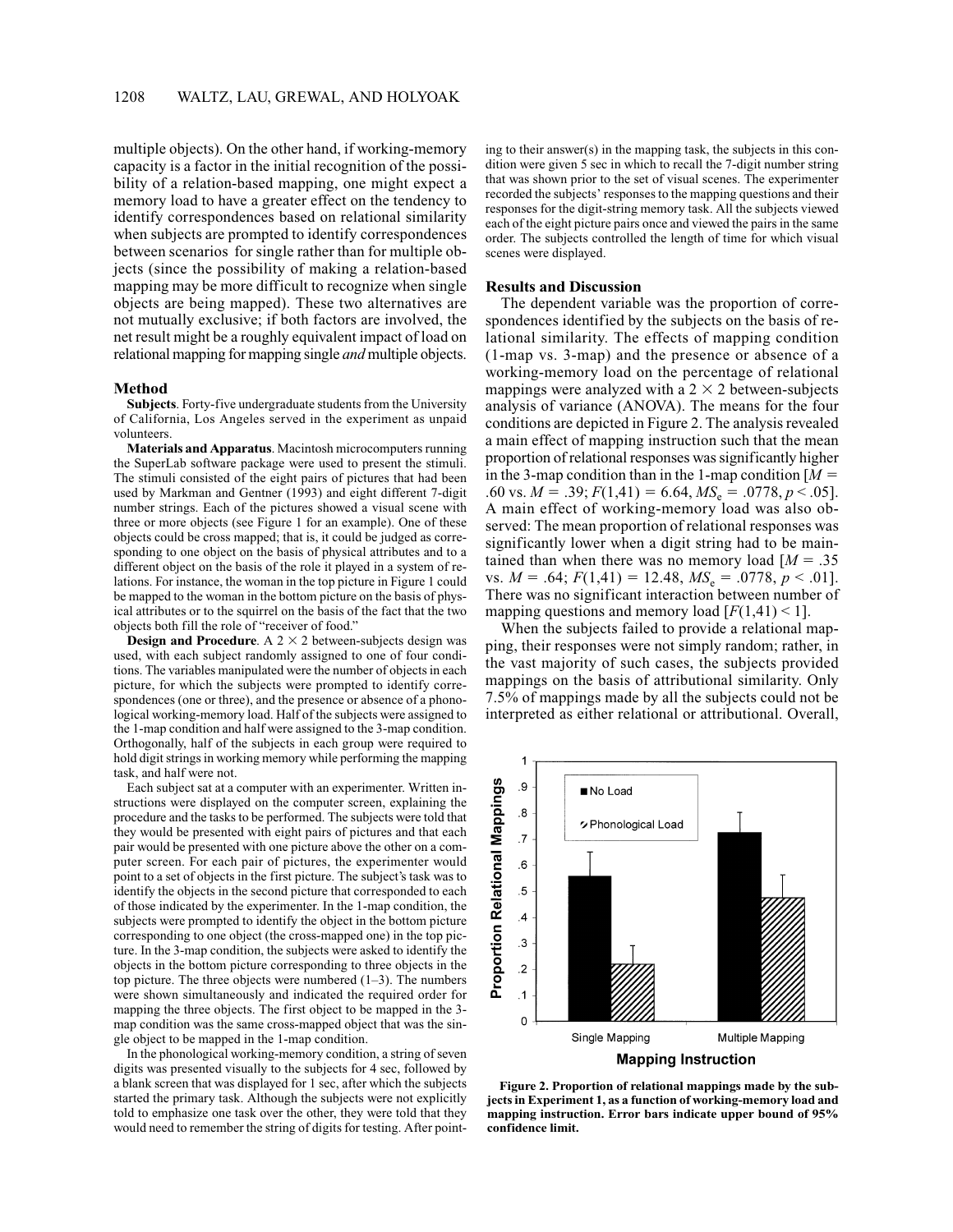multiple objects). On the other hand, if working-memory capacity is a factor in the initial recognition of the possibility of a relation-based mapping, one might expect a memory load to have a greater effect on the tendency to identify correspondences based on relational similarity when subjects are prompted to identify correspondences between scenarios for single rather than for multiple objects (since the possibility of making a relation-based mapping may be more difficult to recognize when single objects are being mapped). These two alternatives are not mutually exclusive; if both factors are involved, the net result might be a roughly equivalent impact of load on relational mapping for mapping single *and* multiple objects.

#### **Method**

**Subjects**. Forty-five undergraduate students from the University of California, Los Angeles served in the experiment as unpaid volunteers.

**Materials and Apparatus**. Macintosh microcomputers running the SuperLab software package were used to present the stimuli. The stimuli consisted of the eight pairs of pictures that had been used by Markman and Gentner (1993) and eight different 7-digit number strings. Each of the pictures showed a visual scene with three or more objects (see Figure 1 for an example). One of these objects could be cross mapped; that is, it could be judged as corresponding to one object on the basis of physical attributes and to a different object on the basis of the role it played in a system of relations. For instance, the woman in the top picture in Figure 1 could be mapped to the woman in the bottom picture on the basis of physical attributes or to the squirrel on the basis of the fact that the two objects both fill the role of "receiver of food."

**Design and Procedure**. A  $2 \times 2$  between-subjects design was used, with each subject randomly assigned to one of four conditions. The variables manipulated were the number of objects in each picture, for which the subjects were prompted to identify correspondences (one or three), and the presence or absence of a phonological working-memory load. Half of the subjects were assigned to the 1-map condition and half were assigned to the 3-map condition. Orthogonally, half of the subjects in each group were required to hold digit strings in working memory while performing the mapping task, and half were not.

Each subject sat at a computer with an experimenter. Written instructions were displayed on the computer screen, explaining the procedure and the tasks to be performed. The subjects were told that they would be presented with eight pairs of pictures and that each pair would be presented with one picture above the other on a computer screen. For each pair of pictures, the experimenter would point to a set of objects in the first picture. The subject's task was to identify the objects in the second picture that corresponded to each of those indicated by the experimenter. In the 1-map condition, the subjects were prompted to identify the object in the bottom picture corresponding to one object (the cross-mapped one) in the top picture. In the 3-map condition, the subjects were asked to identify the objects in the bottom picture corresponding to three objects in the top picture. The three objects were numbered  $(1-3)$ . The numbers were shown simultaneously and indicated the required order for mapping the three objects. The first object to be mapped in the 3 map condition was the same cross-mapped object that was the single object to be mapped in the 1-map condition.

In the phonological working-memory condition, a string of seven digits was presented visually to the subjects for 4 sec, followed by a blank screen that was displayed for 1 sec, after which the subjects started the primary task. Although the subjects were not explicitly told to emphasize one task over the other, they were told that they would need to remember the string of digits for testing. After pointing to their answer(s) in the mapping task, the subjects in this condition were given 5 sec in which to recall the 7-digit number string that was shown prior to the set of visual scenes. The experimenter recorded the subjects' responses to the mapping questions and their responses for the digit-string memory task. All the subjects viewed each of the eight picture pairs once and viewed the pairs in the same order. The subjects controlled the length of time for which visual scenes were displayed.

#### **Results and Discussion**

The dependent variable was the proportion of correspondences identified by the subjects on the basis of relational similarity. The effects of mapping condition (1-map vs. 3-map) and the presence or absence of a working-memory load on the percentage of relational mappings were analyzed with a  $2 \times 2$  between-subjects analysis of variance (ANOVA). The means for the four conditions are depicted in Figure 2. The analysis revealed a main effect of mapping instruction such that the mean proportion of relational responses was significantly higher in the 3-map condition than in the 1-map condition  $M =$  $.60 \text{ vs. } M = .39; F(1,41) = 6.64, MS<sub>e</sub> = .0778, p < .05$ . A main effect of working-memory load was also observed: The mean proportion of relational responses was significantly lower when a digit string had to be maintained than when there was no memory load  $[M = .35]$ vs.  $M = .64$ ;  $F(1,41) = 12.48$ ,  $MS_e = .0778$ ,  $p < .01$ . There was no significant interaction between number of mapping questions and memory load  $[F(1,41) < 1]$ .

When the subjects failed to provide a relational mapping, their responses were not simply random; rather, in the vast majority of such cases, the subjects provided mappings on the basis of attributional similarity. Only 7.5% of mappings made by all the subjects could not be interpreted as either relational or attributional. Overall,



**Figure 2. Proportion of relational mappings made by the subjects in Experiment 1, as a function of working-memory load and mapping instruction. Error bars indicate upper bound of 95% confidence limit.**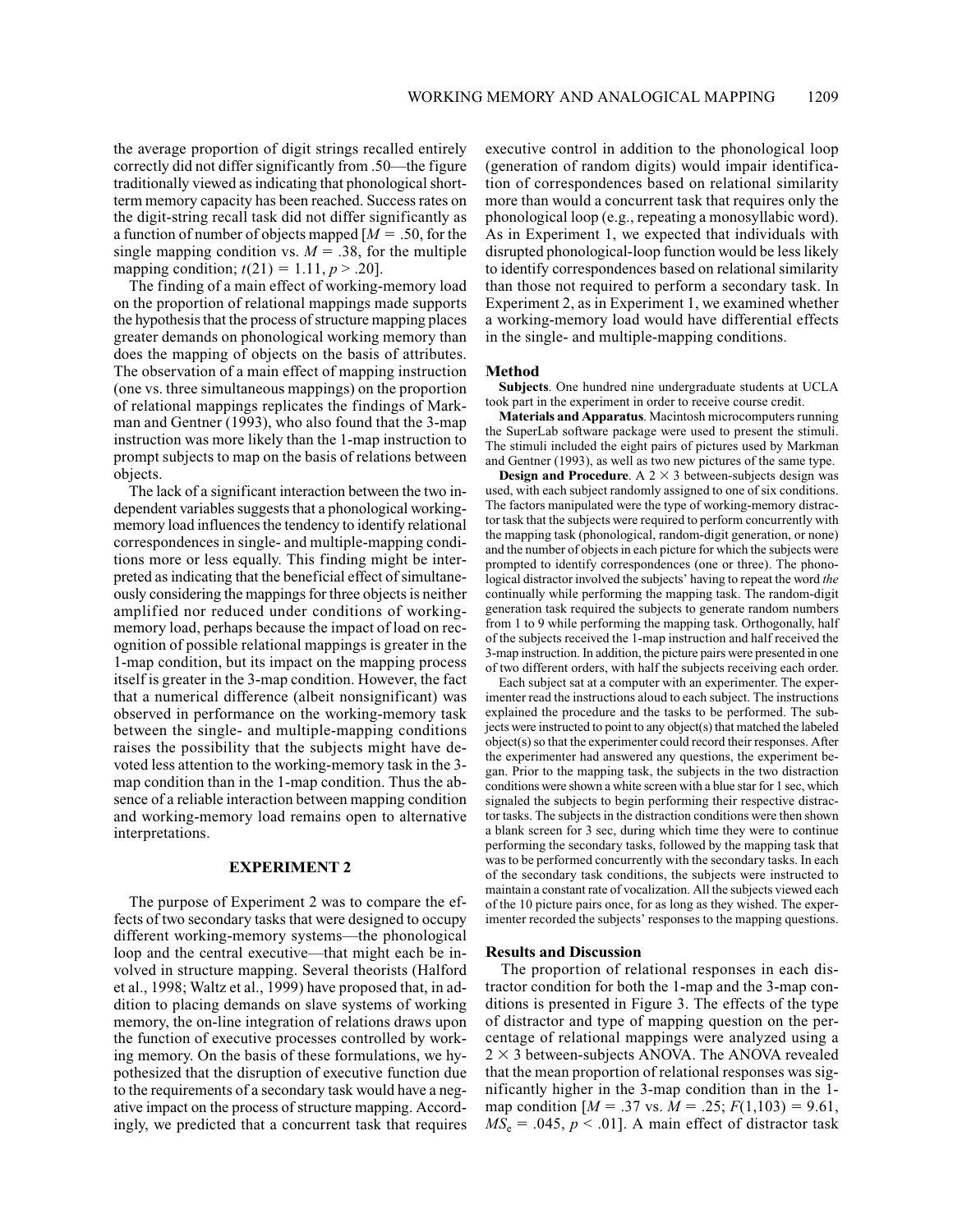the average proportion of digit strings recalled entirely correctly did not differ significantly from .50—the figure traditionally viewed as indicating that phonological shortterm memory capacity has been reached. Success rates on the digit-string recall task did not differ significantly as a function of number of objects mapped  $[M = .50]$ , for the single mapping condition vs.  $M = .38$ , for the multiple mapping condition;  $t(21) = 1.11$ ,  $p > .20$ ].

The finding of a main effect of working-memory load on the proportion of relational mappings made supports the hypothesis that the process of structure mapping places greater demands on phonological working memory than does the mapping of objects on the basis of attributes. The observation of a main effect of mapping instruction (one vs. three simultaneous mappings) on the proportion of relational mappings replicates the findings of Markman and Gentner (1993), who also found that the 3-map instruction was more likely than the 1-map instruction to prompt subjects to map on the basis of relations between objects.

The lack of a significant interaction between the two independent variables suggests that a phonological workingmemory load influences the tendency to identify relational correspondences in single- and multiple-mapping conditions more or less equally. This finding might be interpreted as indicating that the beneficial effect of simultaneously considering the mappings for three objects is neither amplified nor reduced under conditions of workingmemory load, perhaps because the impact of load on recognition of possible relational mappings is greater in the 1-map condition, but its impact on the mapping process itself is greater in the 3-map condition. However, the fact that a numerical difference (albeit nonsignificant) was observed in performance on the working-memory task between the single- and multiple-mapping conditions raises the possibility that the subjects might have devoted less attention to the working-memory task in the 3 map condition than in the 1-map condition. Thus the absence of a reliable interaction between mapping condition and working-memory load remains open to alternative interpretations.

### **EXPERIMENT 2**

The purpose of Experiment 2 was to compare the effects of two secondary tasks that were designed to occupy different working-memory systems—the phonological loop and the central executive—that might each be involved in structure mapping. Several theorists (Halford et al., 1998; Waltz et al., 1999) have proposed that, in addition to placing demands on slave systems of working memory, the on-line integration of relations draws upon the function of executive processes controlled by working memory. On the basis of these formulations, we hypothesized that the disruption of executive function due to the requirements of a secondary task would have a negative impact on the process of structure mapping. Accordingly, we predicted that a concurrent task that requires

executive control in addition to the phonological loop (generation of random digits) would impair identification of correspondences based on relational similarity more than would a concurrent task that requires only the phonological loop (e.g., repeating a monosyllabic word). As in Experiment 1, we expected that individuals with disrupted phonological-loop function would be less likely to identify correspondences based on relational similarity than those not required to perform a secondary task. In Experiment 2, as in Experiment 1, we examined whether a working-memory load would have differential effects in the single- and multiple-mapping conditions.

#### **Method**

**Subjects**. One hundred nine undergraduate students at UCLA took part in the experiment in order to receive course credit.

**Materials and Apparatus**. Macintosh microcomputers running the SuperLab software package were used to present the stimuli. The stimuli included the eight pairs of pictures used by Markman and Gentner (1993), as well as two new pictures of the same type.

**Design and Procedure**. A  $2 \times 3$  between-subjects design was used, with each subject randomly assigned to one of six conditions. The factors manipulated were the type of working-memory distractor task that the subjects were required to perform concurrently with the mapping task (phonological, random-digit generation, or none) and the number of objects in each picture for which the subjects were prompted to identify correspondences (one or three). The phonological distractor involved the subjects' having to repeat the word *the* continually while performing the mapping task. The random-digit generation task required the subjects to generate random numbers from 1 to 9 while performing the mapping task. Orthogonally, half of the subjects received the 1-map instruction and half received the 3-map instruction. In addition, the picture pairs were presented in one of two different orders, with half the subjects receiving each order.

Each subject sat at a computer with an experimenter. The experimenter read the instructions aloud to each subject. The instructions explained the procedure and the tasks to be performed. The subjects were instructed to point to any object(s) that matched the labeled object(s) so that the experimenter could record their responses. After the experimenter had answered any questions, the experiment began. Prior to the mapping task, the subjects in the two distraction conditions were shown a white screen with a blue star for 1 sec, which signaled the subjects to begin performing their respective distractor tasks. The subjects in the distraction conditions were then shown a blank screen for 3 sec, during which time they were to continue performing the secondary tasks, followed by the mapping task that was to be performed concurrently with the secondary tasks. In each of the secondary task conditions, the subjects were instructed to maintain a constant rate of vocalization. All the subjects viewed each of the 10 picture pairs once, for as long as they wished. The experimenter recorded the subjects' responses to the mapping questions.

#### **Results and Discussion**

The proportion of relational responses in each distractor condition for both the 1-map and the 3-map conditions is presented in Figure 3. The effects of the type of distractor and type of mapping question on the percentage of relational mappings were analyzed using a  $2 \times 3$  between-subjects ANOVA. The ANOVA revealed that the mean proportion of relational responses was significantly higher in the 3-map condition than in the 1 map condition  $[M = .37 \text{ vs. } M = .25; F(1,103) = 9.61,$  $MS_e = .045$ ,  $p < .01$ ]. A main effect of distractor task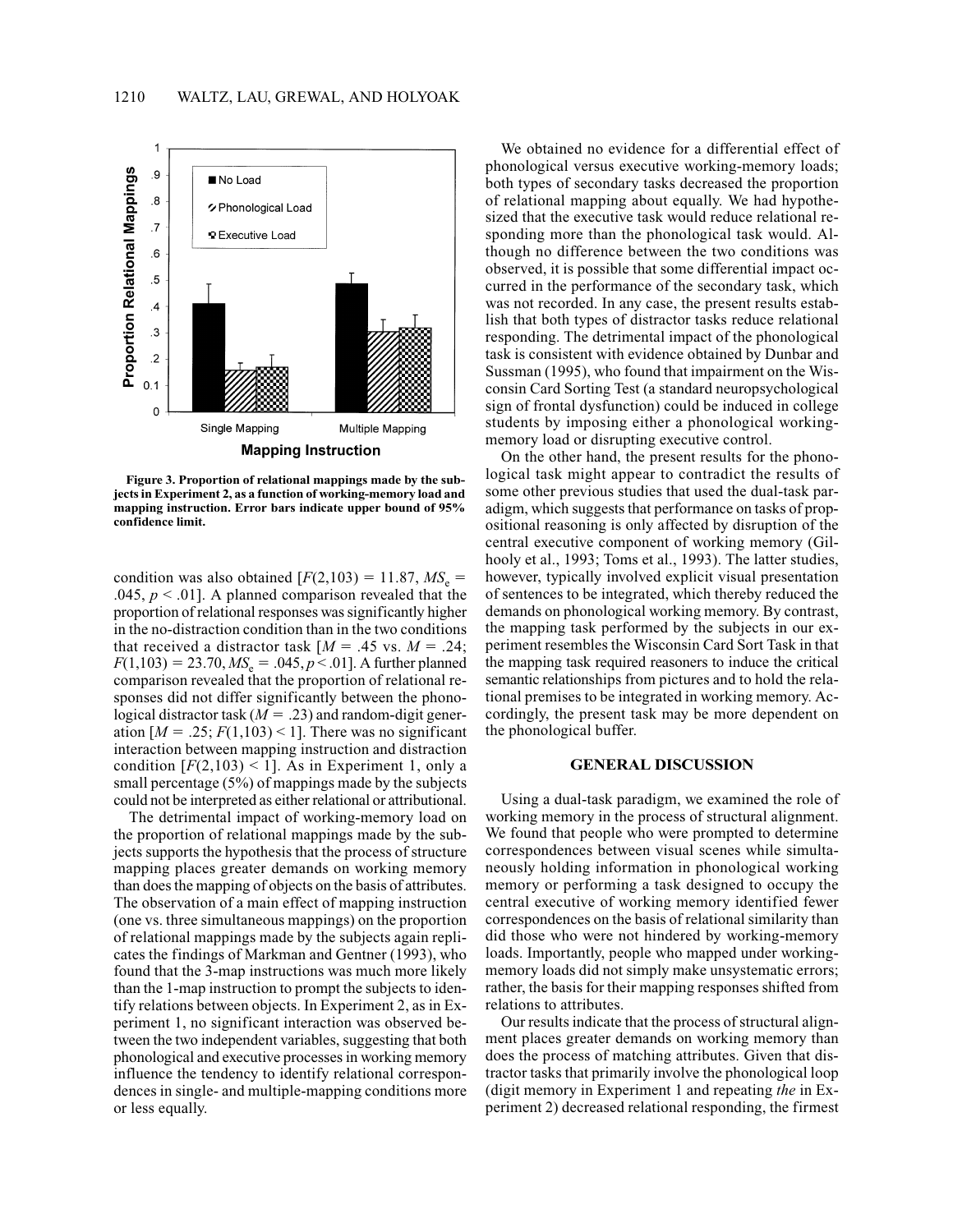

**Figure 3. Proportion of relational mappings made by the subjects in Experiment 2, as a function of working-memory load and mapping instruction. Error bars indicate upper bound of 95% confidence limit.**

condition was also obtained  $[F(2,103) = 11.87, MS_{\scriptscriptstyle{\circ}} =$ .045,  $p < 0.01$ . A planned comparison revealed that the proportion of relational responses was significantly higher in the no-distraction condition than in the two conditions that received a distractor task  $[M = .45 \text{ vs. } M = .24;$  $F(1,103) = 23.70, MS_e = .045, p < .01$ . A further planned comparison revealed that the proportion of relational responses did not differ significantly between the phonological distractor task ( $M = .23$ ) and random-digit generation  $[M = .25; F(1,103) < 1]$ . There was no significant interaction between mapping instruction and distraction condition  $[F(2,103) < 1]$ . As in Experiment 1, only a small percentage (5%) of mappings made by the subjects could not be interpreted as either relational or attributional.

The detrimental impact of working-memory load on the proportion of relational mappings made by the subjects supports the hypothesis that the process of structure mapping places greater demands on working memory than does the mapping of objects on the basis of attributes. The observation of a main effect of mapping instruction (one vs. three simultaneous mappings) on the proportion of relational mappings made by the subjects again replicates the findings of Markman and Gentner (1993), who found that the 3-map instructions was much more likely than the 1-map instruction to prompt the subjects to identify relations between objects. In Experiment 2, as in Experiment 1, no significant interaction was observed between the two independent variables, suggesting that both phonological and executive processes in working memory influence the tendency to identify relational correspondences in single- and multiple-mapping conditions more or less equally.

We obtained no evidence for a differential effect of phonological versus executive working-memory loads; both types of secondary tasks decreased the proportion of relational mapping about equally. We had hypothesized that the executive task would reduce relational responding more than the phonological task would. Although no difference between the two conditions was observed, it is possible that some differential impact occurred in the performance of the secondary task, which was not recorded. In any case, the present results establish that both types of distractor tasks reduce relational responding. The detrimental impact of the phonological task is consistent with evidence obtained by Dunbar and Sussman (1995), who found that impairment on the Wisconsin Card Sorting Test (a standard neuropsychological sign of frontal dysfunction) could be induced in college students by imposing either a phonological workingmemory load or disrupting executive control.

On the other hand, the present results for the phonological task might appear to contradict the results of some other previous studies that used the dual-task paradigm, which suggests that performance on tasks of propositional reasoning is only affected by disruption of the central executive component of working memory (Gilhooly et al., 1993; Toms et al., 1993). The latter studies, however, typically involved explicit visual presentation of sentences to be integrated, which thereby reduced the demands on phonological working memory. By contrast, the mapping task performed by the subjects in our experiment resembles the Wisconsin Card Sort Task in that the mapping task required reasoners to induce the critical semantic relationships from pictures and to hold the relational premises to be integrated in working memory. Accordingly, the present task may be more dependent on the phonological buffer.

## **GENERAL DISCUSSION**

Using a dual-task paradigm, we examined the role of working memory in the process of structural alignment. We found that people who were prompted to determine correspondences between visual scenes while simultaneously holding information in phonological working memory or performing a task designed to occupy the central executive of working memory identified fewer correspondences on the basis of relational similarity than did those who were not hindered by working-memory loads. Importantly, people who mapped under workingmemory loads did not simply make unsystematic errors; rather, the basis for their mapping responses shifted from relations to attributes.

Our results indicate that the process of structural alignment places greater demands on working memory than does the process of matching attributes. Given that distractor tasks that primarily involve the phonological loop (digit memory in Experiment 1 and repeating *the* in Experiment 2) decreased relational responding, the firmest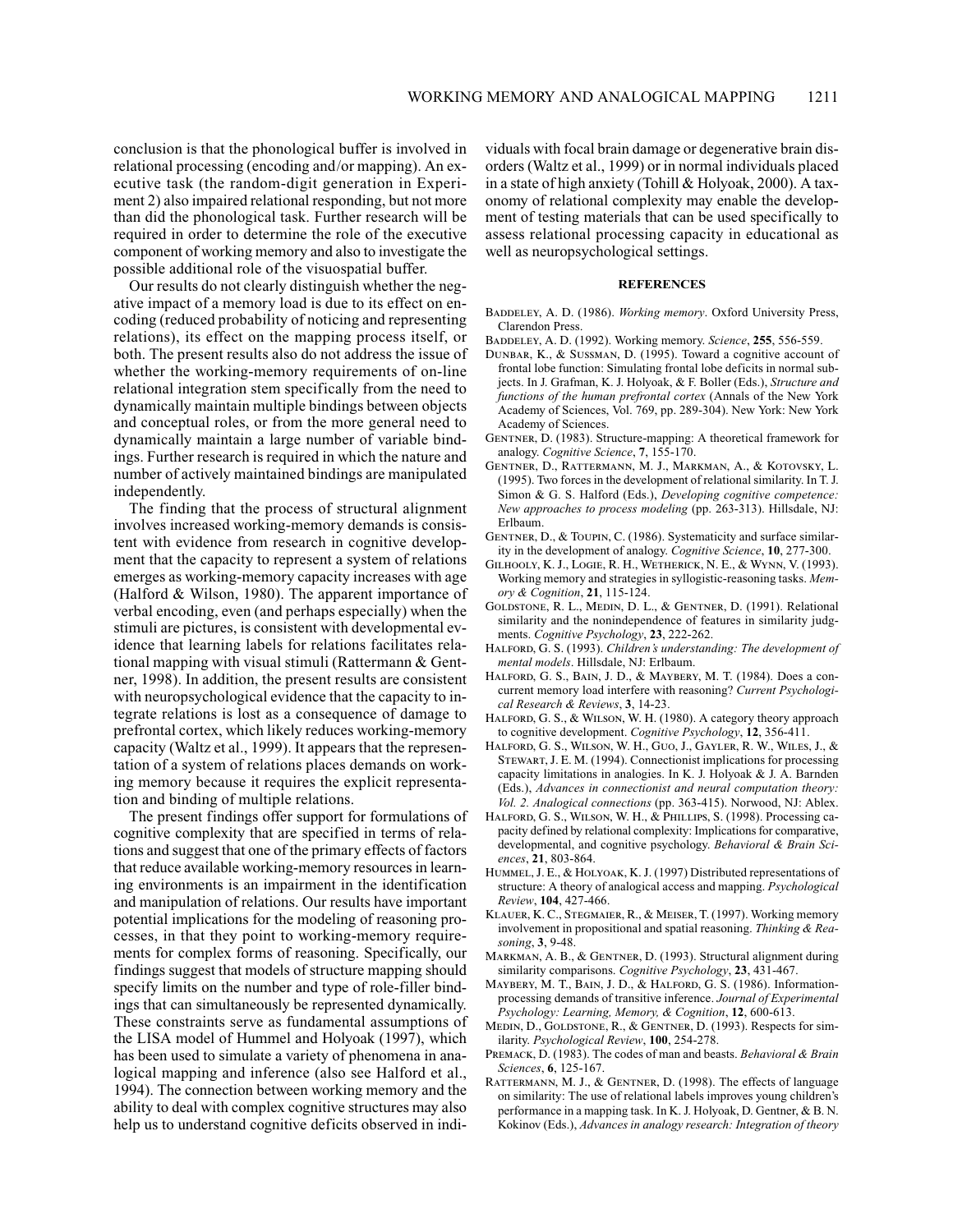conclusion is that the phonological buffer is involved in relational processing (encoding and/or mapping). An executive task (the random-digit generation in Experiment 2) also impaired relational responding, but not more than did the phonological task. Further research will be required in order to determine the role of the executive component of working memory and also to investigate the possible additional role of the visuospatial buffer.

Our results do not clearly distinguish whether the negative impact of a memory load is due to its effect on encoding (reduced probability of noticing and representing relations), its effect on the mapping process itself, or both. The present results also do not address the issue of whether the working-memory requirements of on-line relational integration stem specifically from the need to dynamically maintain multiple bindings between objects and conceptual roles, or from the more general need to dynamically maintain a large number of variable bindings. Further research is required in which the nature and number of actively maintained bindings are manipulated independently.

The finding that the process of structural alignment involves increased working-memory demands is consistent with evidence from research in cognitive development that the capacity to represent a system of relations emerges as working-memory capacity increases with age (Halford & Wilson, 1980). The apparent importance of verbal encoding, even (and perhaps especially) when the stimuli are pictures, is consistent with developmental evidence that learning labels for relations facilitates relational mapping with visual stimuli (Rattermann & Gentner, 1998). In addition, the present results are consistent with neuropsychological evidence that the capacity to integrate relations is lost as a consequence of damage to prefrontal cortex, which likely reduces working-memory capacity (Waltz et al., 1999). It appears that the representation of a system of relations places demands on working memory because it requires the explicit representation and binding of multiple relations.

The present findings offer support for formulations of cognitive complexity that are specified in terms of relations and suggest that one of the primary effects of factors that reduce available working-memory resources in learning environments is an impairment in the identification and manipulation of relations. Our results have important potential implications for the modeling of reasoning processes, in that they point to working-memory requirements for complex forms of reasoning. Specifically, our findings suggest that models of structure mapping should specify limits on the number and type of role-filler bindings that can simultaneously be represented dynamically. These constraints serve as fundamental assumptions of the LISA model of Hummel and Holyoak (1997), which has been used to simulate a variety of phenomena in analogical mapping and inference (also see Halford et al., 1994). The connection between working memory and the ability to deal with complex cognitive structures may also help us to understand cognitive deficits observed in indi-

viduals with focal brain damage or degenerative brain disorders (Waltz et al., 1999) or in normal individuals placed in a state of high anxiety (Tohill & Holyoak, 2000). A taxonomy of relational complexity may enable the development of testing materials that can be used specifically to assess relational processing capacity in educational as well as neuropsychological settings.

## **REFERENCES**

- Baddeley, A. D. (1986). *Working memory*. Oxford University Press, Clarendon Press.
- Baddeley, A. D. (1992). Working memory. *Science*, **255**, 556-559.
- Dunbar, K., & Sussman, D. (1995). Toward a cognitive account of frontal lobe function: Simulating frontal lobe deficits in normal subjects. In J. Grafman, K. J. Holyoak, & F. Boller (Eds.), *Structure and functions of the human prefrontal cortex* (Annals of the New York Academy of Sciences, Vol. 769, pp. 289-304). New York: New York Academy of Sciences.
- GENTNER, D. (1983). Structure-mapping: A theoretical framework for analogy. *Cognitive Science*, **7**, 155-170.
- Gentner, D., Rattermann, M. J., Markman, A., & Kotovsky, L. (1995). Two forces in the development of relational similarity. In T. J. Simon & G. S. Halford (Eds.), *Developing cognitive competence: New approaches to process modeling* (pp. 263-313). Hillsdale, NJ: Erlbaum.
- GENTNER, D., & TOUPIN, C. (1986). Systematicity and surface similarity in the development of analogy. *Cognitive Science*, **10**, 277-300.
- Gilhooly, K. J., Logie, R. H., Wetherick, N. E., & Wynn, V. (1993). Working memory and strategies in syllogistic-reasoning tasks. *Memory & Cognition*, **21**, 115-124.
- Goldstone, R. L., Medin, D. L., & Gentner, D. (1991). Relational similarity and the nonindependence of features in similarity judgments. *Cognitive Psychology*, **23**, 222-262.
- Halford, G. S. (1993). *Children's understanding: The development of mental models*. Hillsdale, NJ: Erlbaum.
- Halford, G. S., Bain, J. D., & Maybery, M. T. (1984). Does a concurrent memory load interfere with reasoning? *Current Psychological Research & Reviews*, **3**, 14-23.
- Halford, G. S., & Wilson, W. H. (1980). A category theory approach to cognitive development. *Cognitive Psychology*, **12**, 356-411.
- Halford, G. S., Wilson, W. H., Guo, J., Gayler, R. W., Wiles, J., & Stewart, J. E. M. (1994). Connectionist implications for processing capacity limitations in analogies. In K. J. Holyoak & J. A. Barnden (Eds.), *Advances in connectionist and neural computation theory: Vol. 2. Analogical connections* (pp. 363-415). Norwood, NJ: Ablex.
- Halford, G. S., Wilson, W. H., & Phillips, S. (1998). Processing capacity defined by relational complexity: Implications for comparative, developmental, and cognitive psychology. *Behavioral & Brain Sciences*, **21**, 803-864.
- HUMMEL, J. E., & HOLYOAK, K. J. (1997) Distributed representations of structure: A theory of analogical access and mapping. *Psychological Review*, **104**, 427-466.
- Klauer, K. C., Stegmaier, R., & Meiser, T. (1997). Working memory involvement in propositional and spatial reasoning. *Thinking & Reasoning*, **3**, 9-48.
- Markman, A. B., & Gentner, D. (1993). Structural alignment during similarity comparisons. *Cognitive Psychology*, **23**, 431-467.
- MAYBERY, M. T., BAIN, J. D., & HALFORD, G. S. (1986). Informationprocessing demands of transitive inference. *Journal of Experimental Psychology: Learning, Memory, & Cognition*, **12**, 600-613.
- MEDIN, D., GOLDSTONE, R., & GENTNER, D. (1993). Respects for similarity. *Psychological Review*, **100**, 254-278.
- Premack, D. (1983). The codes of man and beasts. *Behavioral & Brain Sciences*, **6**, 125-167.
- RATTERMANN, M. J., & GENTNER, D. (1998). The effects of language on similarity: The use of relational labels improves young children's performance in a mapping task. In K. J. Holyoak, D. Gentner, & B. N. Kokinov (Eds.), *Advances in analogy research: Integration of theory*